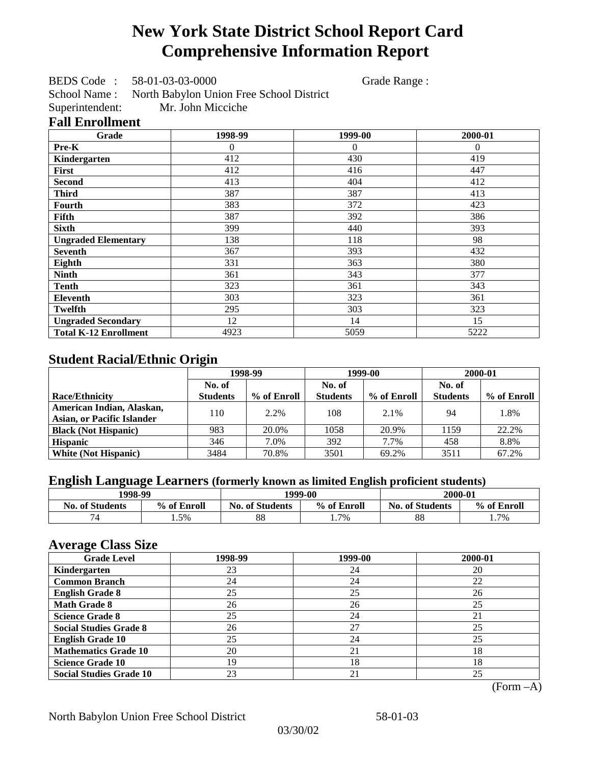# **New York State District School Report Card Comprehensive Information Report**

BEDS Code : 58-01-03-03-0000 Grade Range :

School Name : North Babylon Union Free School District Superintendent: Mr. John Micciche

### **Fall Enrollment**

| Grade                        | 1998-99      | 1999-00  | 2000-01  |
|------------------------------|--------------|----------|----------|
| Pre-K                        | $\mathbf{0}$ | $\theta$ | $\theta$ |
| Kindergarten                 | 412          | 430      | 419      |
| <b>First</b>                 | 412          | 416      | 447      |
| <b>Second</b>                | 413          | 404      | 412      |
| <b>Third</b>                 | 387          | 387      | 413      |
| Fourth                       | 383          | 372      | 423      |
| Fifth                        | 387          | 392      | 386      |
| <b>Sixth</b>                 | 399          | 440      | 393      |
| <b>Ungraded Elementary</b>   | 138          | 118      | 98       |
| <b>Seventh</b>               | 367          | 393      | 432      |
| Eighth                       | 331          | 363      | 380      |
| <b>Ninth</b>                 | 361          | 343      | 377      |
| <b>Tenth</b>                 | 323          | 361      | 343      |
| Eleventh                     | 303          | 323      | 361      |
| <b>Twelfth</b>               | 295          | 303      | 323      |
| <b>Ungraded Secondary</b>    | 12           | 14       | 15       |
| <b>Total K-12 Enrollment</b> | 4923         | 5059     | 5222     |

## **Student Racial/Ethnic Origin**

|                                   | 1998-99         |             | 1999-00         |             | 2000-01         |             |
|-----------------------------------|-----------------|-------------|-----------------|-------------|-----------------|-------------|
|                                   | No. of          |             | No. of          |             | No. of          |             |
| <b>Race/Ethnicity</b>             | <b>Students</b> | % of Enroll | <b>Students</b> | % of Enroll | <b>Students</b> | % of Enroll |
| American Indian, Alaskan,         | 110             | 2.2%        | 108             | $2.1\%$     | 94              | 1.8%        |
| <b>Asian, or Pacific Islander</b> |                 |             |                 |             |                 |             |
| <b>Black (Not Hispanic)</b>       | 983             | 20.0%       | 1058            | 20.9%       | 1159            | 22.2%       |
| <b>Hispanic</b>                   | 346             | 7.0%        | 392             | 7.7%        | 458             | 8.8%        |
| <b>White (Not Hispanic)</b>       | 3484            | 70.8%       | 3501            | 69.2%       | 3511            | 67.2%       |

## **English Language Learners (formerly known as limited English proficient students)**

| 1998-99                |             |                                       | 1999-00 | 2000-01              |             |
|------------------------|-------------|---------------------------------------|---------|----------------------|-------------|
| <b>No. of Students</b> | % of Enroll | % of Enroll<br><b>No. of Students</b> |         | No.<br>. of Students | % of Enroll |
| 74                     | . .5%       | 88                                    | 1.7%    | 88                   | $1.7\%$     |

### **Average Class Size**

| ---- <del>-</del> --<br><b>Grade Level</b> | 1998-99 | 1999-00 | 2000-01 |
|--------------------------------------------|---------|---------|---------|
| Kindergarten                               | 23      | 24      | 20      |
| <b>Common Branch</b>                       | 24      | 24      | 22      |
| <b>English Grade 8</b>                     | 25      | 25      | 26      |
| <b>Math Grade 8</b>                        | 26      | 26      | 25      |
| <b>Science Grade 8</b>                     | 25      | 24      | 21      |
| <b>Social Studies Grade 8</b>              | 26      | 27      | 25      |
| <b>English Grade 10</b>                    | 25      | 24      | 25      |
| <b>Mathematics Grade 10</b>                | 20      | 21      | 18      |
| <b>Science Grade 10</b>                    | 19      | 18      | 18      |
| <b>Social Studies Grade 10</b>             | 23      | 21      | 25      |

(Form –A)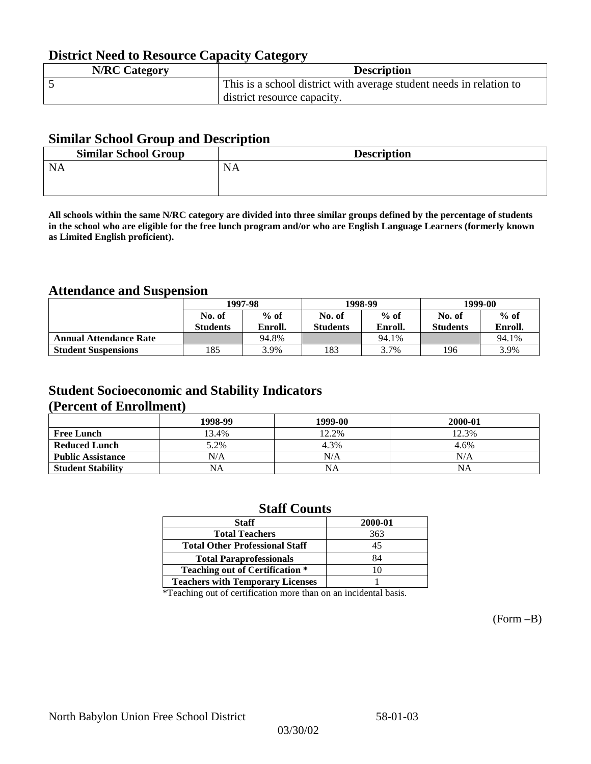## **District Need to Resource Capacity Category**

| <b>N/RC Category</b> | <b>Description</b>                                                  |
|----------------------|---------------------------------------------------------------------|
|                      | This is a school district with average student needs in relation to |
|                      | district resource capacity.                                         |

### **Similar School Group and Description**

| <b>Similar School Group</b> | <b>Description</b> |
|-----------------------------|--------------------|
| <b>NA</b>                   | <b>NA</b>          |
|                             |                    |

**All schools within the same N/RC category are divided into three similar groups defined by the percentage of students in the school who are eligible for the free lunch program and/or who are English Language Learners (formerly known as Limited English proficient).**

## **Attendance and Suspension**

|                               | 1997-98          |         |                  | 1998-99 | 1999-00         |         |
|-------------------------------|------------------|---------|------------------|---------|-----------------|---------|
|                               | $%$ of<br>No. of |         | $%$ of<br>No. of |         | No. of          | $%$ of  |
|                               | <b>Students</b>  | Enroll. | <b>Students</b>  | Enroll. | <b>Students</b> | Enroll. |
| <b>Annual Attendance Rate</b> |                  | 94.8%   |                  | 94.1%   |                 | 94.1%   |
| <b>Student Suspensions</b>    | 185              | 3.9%    | 183              | 3.7%    | 196             | 3.9%    |

## **Student Socioeconomic and Stability Indicators (Percent of Enrollment)**

|                          | 1998-99   | 1999-00   | 2000-01 |
|--------------------------|-----------|-----------|---------|
| <b>Free Lunch</b>        | 13.4%     | 12.2%     | 12.3%   |
| <b>Reduced Lunch</b>     | 5.2%      | 4.3%      | 4.6%    |
| <b>Public Assistance</b> | N/A       | N/A       | N/A     |
| <b>Student Stability</b> | <b>NA</b> | <b>NA</b> | NA      |

### **Staff Counts**

| <b>Staff</b>                            | 2000-01 |
|-----------------------------------------|---------|
| <b>Total Teachers</b>                   | 363     |
| <b>Total Other Professional Staff</b>   | 45      |
| <b>Total Paraprofessionals</b>          | 84      |
| <b>Teaching out of Certification *</b>  |         |
| <b>Teachers with Temporary Licenses</b> |         |

\*Teaching out of certification more than on an incidental basis.

(Form –B)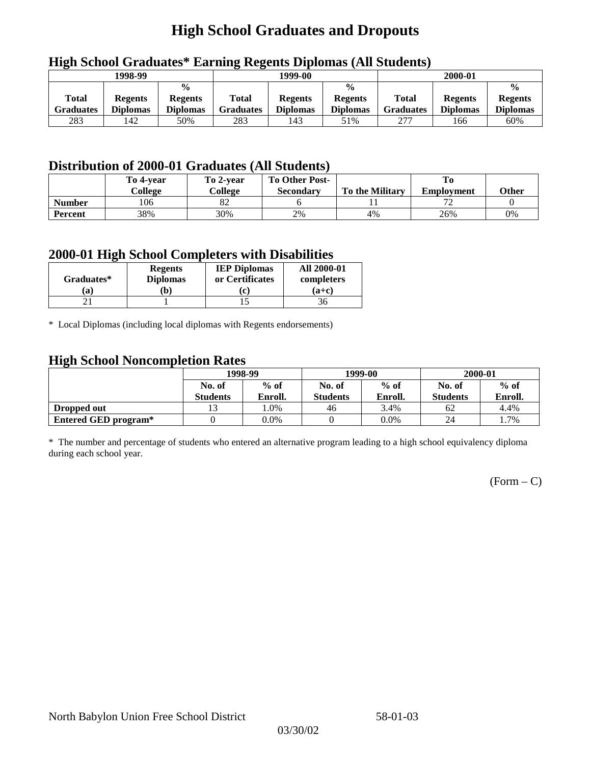## **High School Graduates and Dropouts**

|                           | 1998-99                           |                                                    |                           | 1999-00                           |                                                    |                                  | 2000-01                           |                                                    |
|---------------------------|-----------------------------------|----------------------------------------------------|---------------------------|-----------------------------------|----------------------------------------------------|----------------------------------|-----------------------------------|----------------------------------------------------|
| <b>Total</b><br>Graduates | <b>Regents</b><br><b>Diplomas</b> | $\frac{0}{0}$<br><b>Regents</b><br><b>Diplomas</b> | Total<br><b>Graduates</b> | <b>Regents</b><br><b>Diplomas</b> | $\frac{6}{6}$<br><b>Regents</b><br><b>Diplomas</b> | <b>Total</b><br><b>Graduates</b> | <b>Regents</b><br><b>Diplomas</b> | $\frac{0}{0}$<br><b>Regents</b><br><b>Diplomas</b> |
| 283                       | 142                               | 50%                                                | 283                       | 143                               | 51%                                                | 277                              | 166                               | 60%                                                |

## **High School Graduates\* Earning Regents Diplomas (All Students)**

## **Distribution of 2000-01 Graduates (All Students)**

|                | To 4-vear<br>College | To 2-year<br>College | <b>To Other Post-</b><br><b>Secondary</b> | <b>To the Military</b> | <b>Employment</b>        | Other |
|----------------|----------------------|----------------------|-------------------------------------------|------------------------|--------------------------|-------|
| <b>Number</b>  | 106                  | 82                   |                                           |                        | $\overline{\phantom{a}}$ |       |
| <b>Percent</b> | 38%                  | 30%                  | 2%                                        | 4%                     | 26%                      | 0%    |

### **2000-01 High School Completers with Disabilities**

| Graduates* | <b>Regents</b><br><b>Diplomas</b> | <b>IEP Diplomas</b><br>or Certificates | <b>All 2000-01</b><br>completers |
|------------|-----------------------------------|----------------------------------------|----------------------------------|
| 'a         | b)                                | l c                                    | $(a+c)$                          |
|            |                                   |                                        | 36                               |

\* Local Diplomas (including local diplomas with Regents endorsements)

### **High School Noncompletion Rates**

| $\tilde{\phantom{a}}$ | 1998-99<br>$%$ of<br>No. of |         |                 | 1999-00 | 2000-01         |         |
|-----------------------|-----------------------------|---------|-----------------|---------|-----------------|---------|
|                       |                             |         | No. of          | $%$ of  | No. of          | $%$ of  |
|                       | <b>Students</b>             | Enroll. | <b>Students</b> | Enroll. | <b>Students</b> | Enroll. |
| Dropped out           |                             | .0%     | 46              | 3.4%    | 62              | 4.4%    |
| Entered GED program*  |                             | $0.0\%$ |                 | $0.0\%$ | 24              | 1.7%    |

\* The number and percentage of students who entered an alternative program leading to a high school equivalency diploma during each school year.

 $(Form - C)$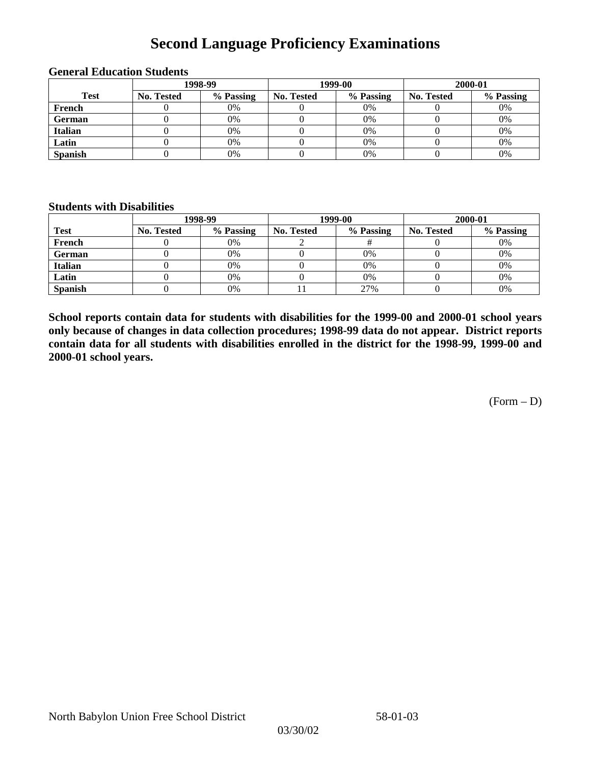## **Second Language Proficiency Examinations**

|                |            | 1998-99   |                   | 1999-00   | 2000-01    |           |  |
|----------------|------------|-----------|-------------------|-----------|------------|-----------|--|
| <b>Test</b>    | No. Tested | % Passing | <b>No. Tested</b> | % Passing | No. Tested | % Passing |  |
| French         |            | 0%        |                   | 0%        |            | 0%        |  |
| <b>German</b>  |            | 0%        |                   | $0\%$     |            | 0%        |  |
| <b>Italian</b> |            | 0%        |                   | 0%        |            | 0%        |  |
| Latin          |            | 0%        |                   | 0%        |            | 0%        |  |
| <b>Spanish</b> |            | 0%        |                   | 0%        |            | 0%        |  |

#### **General Education Students**

### **Students with Disabilities**

|                | 1998-99    |           |                   | 1999-00   | 2000-01           |           |  |
|----------------|------------|-----------|-------------------|-----------|-------------------|-----------|--|
| <b>Test</b>    | No. Tested | % Passing | <b>No. Tested</b> | % Passing | <b>No. Tested</b> | % Passing |  |
| French         |            | $0\%$     |                   |           |                   | 0%        |  |
| German         |            | 0%        |                   | 0%        |                   | 0%        |  |
| <b>Italian</b> |            | 0%        |                   | 0%        |                   | 0%        |  |
| Latin          |            | 0%        |                   | 0%        |                   | 0%        |  |
| <b>Spanish</b> |            | 0%        |                   | 27%       |                   | 0%        |  |

**School reports contain data for students with disabilities for the 1999-00 and 2000-01 school years only because of changes in data collection procedures; 1998-99 data do not appear. District reports contain data for all students with disabilities enrolled in the district for the 1998-99, 1999-00 and 2000-01 school years.**

 $(Form - D)$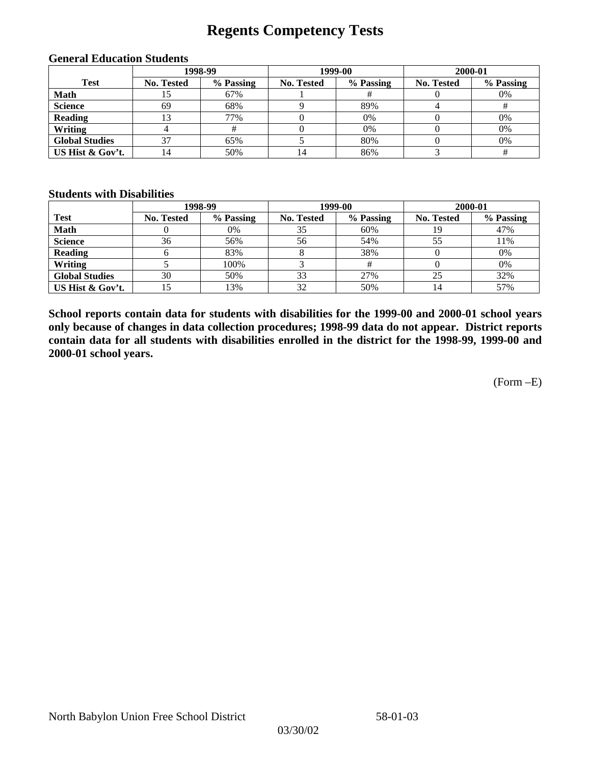## **Regents Competency Tests**

|                       | 1998-99    |           |                   | 1999-00   | 2000-01           |           |  |
|-----------------------|------------|-----------|-------------------|-----------|-------------------|-----------|--|
| <b>Test</b>           | No. Tested | % Passing | <b>No. Tested</b> | % Passing | <b>No. Tested</b> | % Passing |  |
| <b>Math</b>           |            | 67%       |                   |           |                   | 0%        |  |
| <b>Science</b>        | 69         | 68%       |                   | 89%       |                   |           |  |
| <b>Reading</b>        |            | 77%       |                   | 0%        |                   | 0%        |  |
| Writing               |            |           |                   | 0%        |                   | 0%        |  |
| <b>Global Studies</b> | 37         | 65%       |                   | 80%       |                   | 0%        |  |
| US Hist & Gov't.      | ι4         | 50%       | 14                | 86%       |                   |           |  |

#### **General Education Students**

#### **Students with Disabilities**

|                       |            | 1998-99   | 1999-00    |           | 2000-01    |           |
|-----------------------|------------|-----------|------------|-----------|------------|-----------|
| <b>Test</b>           | No. Tested | % Passing | No. Tested | % Passing | No. Tested | % Passing |
| <b>Math</b>           |            | 0%        | 35         | 60%       |            | 47%       |
| <b>Science</b>        | 36         | 56%       | 56         | 54%       | 55         | 11%       |
| <b>Reading</b>        |            | 83%       |            | 38%       |            | 0%        |
| Writing               |            | 100%      |            |           |            | 0%        |
| <b>Global Studies</b> | 30         | 50%       | 33         | 27%       | 25         | 32%       |
| US Hist & Gov't.      |            | 13%       | 32         | 50%       |            | 57%       |

**School reports contain data for students with disabilities for the 1999-00 and 2000-01 school years only because of changes in data collection procedures; 1998-99 data do not appear. District reports contain data for all students with disabilities enrolled in the district for the 1998-99, 1999-00 and 2000-01 school years.**

(Form –E)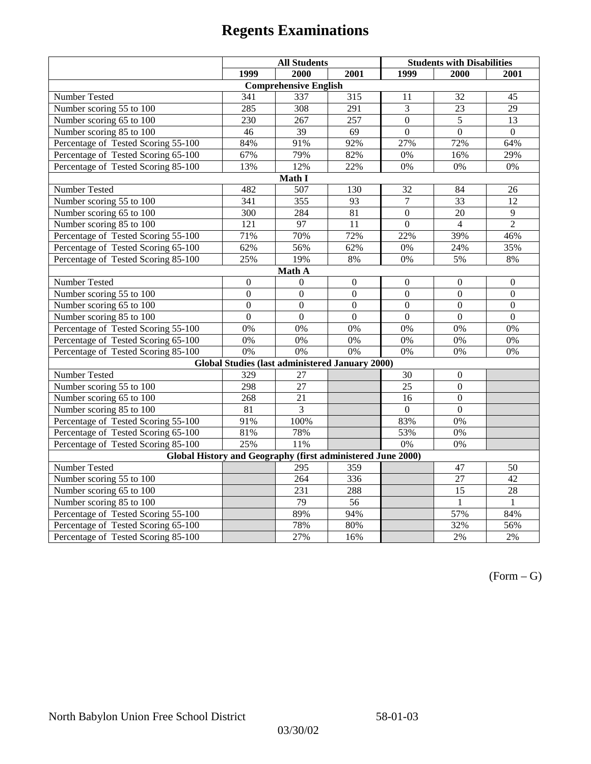|                                                             | <b>All Students</b> |                                                        |                 | <b>Students with Disabilities</b> |                  |                  |  |  |
|-------------------------------------------------------------|---------------------|--------------------------------------------------------|-----------------|-----------------------------------|------------------|------------------|--|--|
|                                                             | 1999                | 2000                                                   | 2001            | 1999                              | 2000             | 2001             |  |  |
|                                                             |                     | <b>Comprehensive English</b>                           |                 |                                   |                  |                  |  |  |
| Number Tested                                               | 341                 | 337                                                    | 315             | 11                                | 32               | 45               |  |  |
| Number scoring 55 to 100                                    | 285                 | 308                                                    | 291             | 3                                 | 23               | 29               |  |  |
| Number scoring 65 to 100                                    | 230                 | 267                                                    | 257             | $\overline{0}$                    | $\overline{5}$   | $\overline{13}$  |  |  |
| Number scoring 85 to 100                                    | 46                  | 39                                                     | 69              | $\Omega$                          | $\overline{0}$   | $\Omega$         |  |  |
| Percentage of Tested Scoring 55-100                         | 84%                 | 91%                                                    | 92%             | 27%                               | 72%              | 64%              |  |  |
| Percentage of Tested Scoring 65-100                         | 67%                 | 79%                                                    | 82%             | 0%                                | 16%              | 29%              |  |  |
| Percentage of Tested Scoring 85-100                         | 13%                 | 12%                                                    | 22%             | 0%                                | 0%               | $0\%$            |  |  |
|                                                             |                     | Math I                                                 |                 |                                   |                  |                  |  |  |
| Number Tested<br>482<br>507<br>130<br>32<br>26<br>84        |                     |                                                        |                 |                                   |                  |                  |  |  |
| Number scoring 55 to 100                                    | 341                 | 355                                                    | 93              | $\overline{7}$                    | 33               | 12               |  |  |
| Number scoring 65 to 100                                    | 300                 | 284                                                    | 81              | $\boldsymbol{0}$                  | 20               | 9                |  |  |
| Number scoring 85 to 100                                    | $\overline{121}$    | $\overline{97}$                                        | $\overline{11}$ | $\overline{0}$                    | $\overline{4}$   | $\overline{2}$   |  |  |
| Percentage of Tested Scoring 55-100                         | 71%                 | 70%                                                    | 72%             | 22%                               | 39%              | 46%              |  |  |
| Percentage of Tested Scoring 65-100                         | 62%                 | 56%                                                    | 62%             | 0%                                | 24%              | 35%              |  |  |
| Percentage of Tested Scoring 85-100                         | 25%                 | 19%                                                    | $8\%$           | $0\%$                             | 5%               | $8\%$            |  |  |
| Math A                                                      |                     |                                                        |                 |                                   |                  |                  |  |  |
| Number Tested                                               | $\boldsymbol{0}$    | $\Omega$                                               | $\mathbf{0}$    | $\overline{0}$                    | $\mathbf{0}$     | $\boldsymbol{0}$ |  |  |
| Number scoring 55 to 100                                    | $\overline{0}$      | $\overline{0}$                                         | $\overline{0}$  | $\overline{0}$                    | $\overline{0}$   | $\overline{0}$   |  |  |
| Number scoring 65 to 100                                    | $\boldsymbol{0}$    | $\mathbf{0}$                                           | $\mathbf{0}$    | $\overline{0}$                    | $\boldsymbol{0}$ | $\boldsymbol{0}$ |  |  |
| Number scoring 85 to 100                                    | $\mathbf{0}$        | $\mathbf{0}$                                           | $\mathbf{0}$    | $\mathbf{0}$                      | $\mathbf{0}$     | $\boldsymbol{0}$ |  |  |
| Percentage of Tested Scoring 55-100                         | 0%                  | 0%                                                     | 0%              | 0%                                | 0%               | 0%               |  |  |
| Percentage of Tested Scoring 65-100                         | 0%                  | 0%                                                     | 0%              | 0%                                | 0%               | 0%               |  |  |
| Percentage of Tested Scoring 85-100                         | 0%                  | 0%                                                     | 0%              | 0%                                | 0%               | 0%               |  |  |
|                                                             |                     | <b>Global Studies (last administered January 2000)</b> |                 |                                   |                  |                  |  |  |
| Number Tested                                               | 329                 | 27                                                     |                 | 30                                | $\boldsymbol{0}$ |                  |  |  |
| Number scoring 55 to 100                                    | 298                 | 27                                                     |                 | 25                                | $\overline{0}$   |                  |  |  |
| Number scoring 65 to 100                                    | 268                 | 21                                                     |                 | 16                                | $\overline{0}$   |                  |  |  |
| Number scoring 85 to 100                                    | 81                  | 3                                                      |                 | $\overline{0}$                    | $\mathbf{0}$     |                  |  |  |
| Percentage of Tested Scoring 55-100                         | 91%                 | 100%                                                   |                 | 83%                               | $0\%$            |                  |  |  |
| Percentage of Tested Scoring 65-100                         | 81%                 | 78%                                                    |                 | 53%                               | 0%               |                  |  |  |
| Percentage of Tested Scoring 85-100                         | 25%                 | 11%                                                    |                 | $0\%$                             | 0%               |                  |  |  |
| Global History and Geography (first administered June 2000) |                     |                                                        |                 |                                   |                  |                  |  |  |
| Number Tested                                               |                     | 295                                                    | 359             |                                   | 47               | 50               |  |  |
| Number scoring 55 to 100                                    |                     | 264                                                    | 336             |                                   | 27               | $\overline{42}$  |  |  |
| Number scoring 65 to 100                                    |                     | 231                                                    | 288             |                                   | 15               | $\overline{28}$  |  |  |
| Number scoring 85 to 100                                    |                     | 79                                                     | 56              |                                   | $\mathbf{1}$     | $\mathbf{1}$     |  |  |
| Percentage of Tested Scoring 55-100                         |                     | 89%                                                    | 94%             |                                   | 57%              | 84%              |  |  |
| Percentage of Tested Scoring 65-100                         |                     | 78%                                                    | 80%             |                                   | 32%              | 56%              |  |  |
| Percentage of Tested Scoring 85-100                         |                     | 27%                                                    | 16%             |                                   | 2%               | 2%               |  |  |

 $(Form - G)$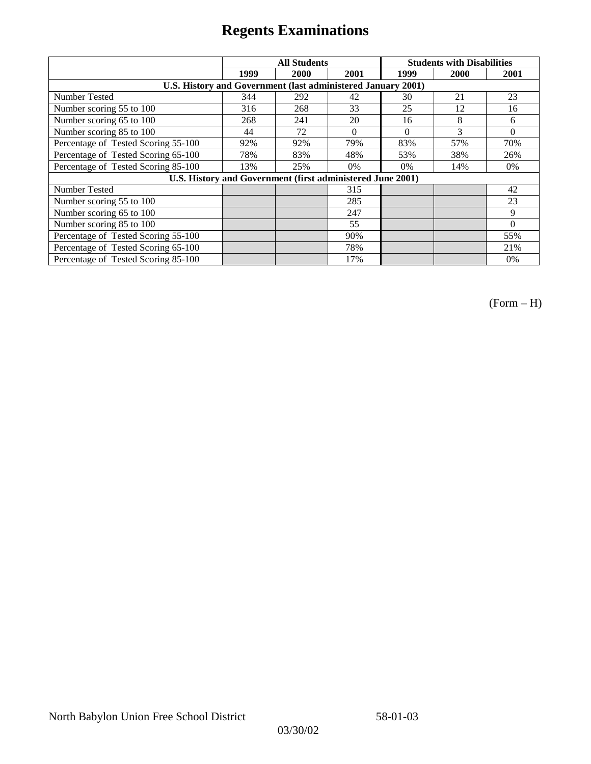|                                                              |      | <b>All Students</b> |          | <b>Students with Disabilities</b> |      |          |  |
|--------------------------------------------------------------|------|---------------------|----------|-----------------------------------|------|----------|--|
|                                                              | 1999 | 2000                | 2001     | 1999                              | 2000 | 2001     |  |
| U.S. History and Government (last administered January 2001) |      |                     |          |                                   |      |          |  |
| Number Tested                                                | 344  | 292                 | 42       | 30                                | 21   | 23       |  |
| Number scoring 55 to 100                                     | 316  | 268                 | 33       | 25                                | 12   | 16       |  |
| Number scoring 65 to 100                                     | 268  | 241                 | 20       | 16                                | 8    | 6        |  |
| Number scoring 85 to 100                                     | 44   | 72                  | $\Omega$ | $\Omega$                          | 3    | $\Omega$ |  |
| Percentage of Tested Scoring 55-100                          | 92%  | 92%                 | 79%      | 83%                               | 57%  | 70%      |  |
| Percentage of Tested Scoring 65-100                          | 78%  | 83%                 | 48%      | 53%                               | 38%  | 26%      |  |
| Percentage of Tested Scoring 85-100                          | 13%  | 25%                 | 0%       | $0\%$                             | 14%  | $0\%$    |  |
| U.S. History and Government (first administered June 2001)   |      |                     |          |                                   |      |          |  |
| Number Tested                                                |      |                     | 315      |                                   |      | 42       |  |
| Number scoring 55 to 100                                     |      |                     | 285      |                                   |      | 23       |  |
| Number scoring 65 to 100                                     |      |                     | 247      |                                   |      | 9        |  |
| Number scoring 85 to 100                                     |      |                     | 55       |                                   |      | $\Omega$ |  |
| Percentage of Tested Scoring 55-100                          |      |                     | 90%      |                                   |      | 55%      |  |
| Percentage of Tested Scoring 65-100                          |      |                     | 78%      |                                   |      | 21%      |  |
| Percentage of Tested Scoring 85-100                          |      |                     | 17%      |                                   |      | 0%       |  |

(Form – H)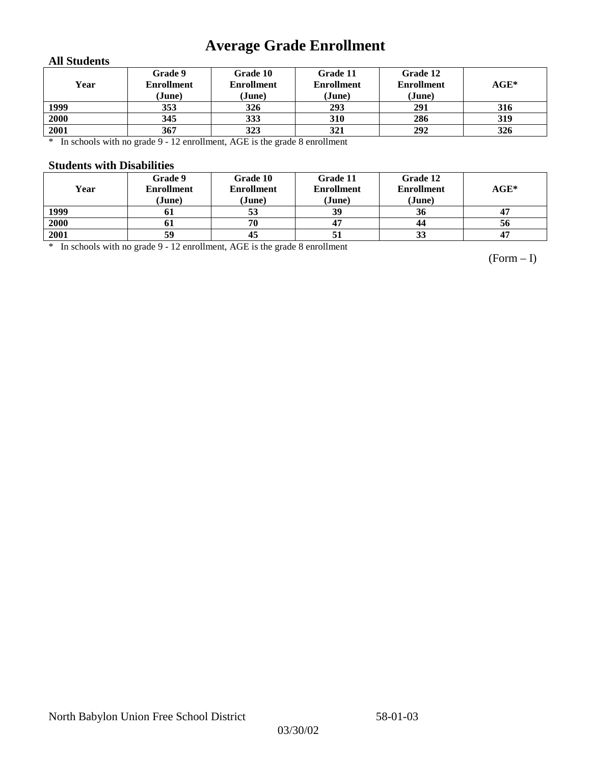## **Average Grade Enrollment**

### **All Students**

| Year | Grade 9<br><b>Enrollment</b><br>(June) | Grade 10<br><b>Enrollment</b><br>(June) | Grade 11<br><b>Enrollment</b><br>(June) | Grade 12<br><b>Enrollment</b><br>(June) | $AGE^*$ |
|------|----------------------------------------|-----------------------------------------|-----------------------------------------|-----------------------------------------|---------|
| 1999 | 353                                    | 326                                     | 293                                     | 291                                     | 316     |
| 2000 | 345                                    | 333                                     | 310                                     | 286                                     | 319     |
| 2001 | 367                                    | 323                                     | 321                                     | 292                                     | 326     |

\* In schools with no grade 9 - 12 enrollment, AGE is the grade 8 enrollment

### **Students with Disabilities**

| Year | Grade 9<br><b>Enrollment</b><br>(June) | Grade 10<br><b>Enrollment</b><br>(June) | Grade 11<br><b>Enrollment</b><br>(June) | Grade 12<br><b>Enrollment</b><br>(June) | $AGE^*$ |
|------|----------------------------------------|-----------------------------------------|-----------------------------------------|-----------------------------------------|---------|
| 1999 | 01                                     | 53                                      | 39                                      | 36                                      |         |
| 2000 | 01                                     | 70                                      |                                         | 44                                      | 56      |
| 2001 | 59                                     | 45                                      |                                         | 33                                      | 47      |

\* In schools with no grade 9 - 12 enrollment, AGE is the grade 8 enrollment

(Form – I)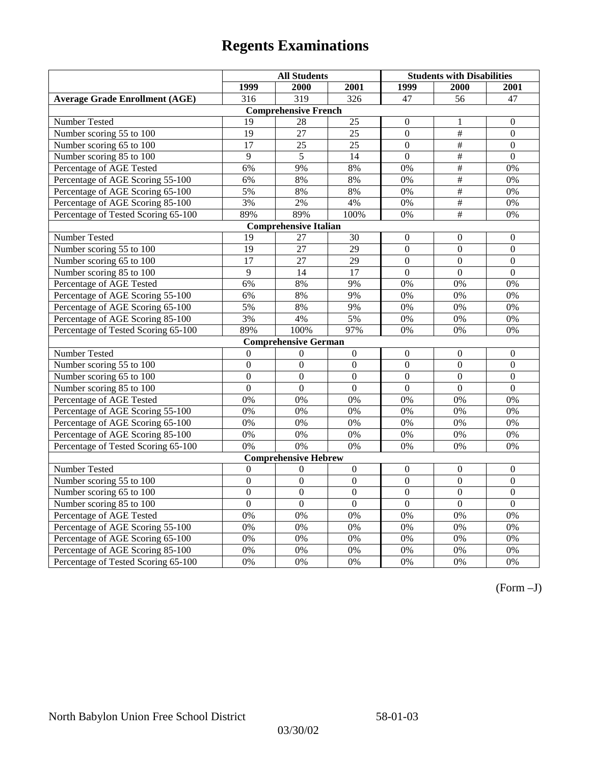|                                       | <b>All Students</b> |                             |                  | <b>Students with Disabilities</b> |                           |                  |  |  |
|---------------------------------------|---------------------|-----------------------------|------------------|-----------------------------------|---------------------------|------------------|--|--|
|                                       | 1999                | 2000                        | 2001             | 1999                              | 2000                      | 2001             |  |  |
| <b>Average Grade Enrollment (AGE)</b> | 316                 | 319                         | 326              | 47                                | 56                        | 47               |  |  |
|                                       |                     | <b>Comprehensive French</b> |                  |                                   |                           |                  |  |  |
| Number Tested                         | 19                  | 28                          | 25               | $\overline{0}$                    | 1                         | $\mathbf{0}$     |  |  |
| Number scoring 55 to 100              | 19                  | 27                          | $\overline{25}$  | $\overline{0}$                    | $\#$                      | $\mathbf{0}$     |  |  |
| Number scoring 65 to 100              | 17                  | 25                          | 25               | $\overline{0}$                    | #                         | $\mathbf{0}$     |  |  |
| Number scoring 85 to 100              | 9                   | 5                           | 14               | $\overline{0}$                    | $\overline{\overline{t}}$ | $\mathbf{0}$     |  |  |
| Percentage of AGE Tested              | 6%                  | 9%                          | 8%               | 0%                                | #                         | 0%               |  |  |
| Percentage of AGE Scoring 55-100      | 6%                  | 8%                          | 8%               | 0%                                | #                         | 0%               |  |  |
| Percentage of AGE Scoring 65-100      | 5%                  | 8%                          | 8%               | 0%                                | $\overline{\overline{t}}$ | 0%               |  |  |
| Percentage of AGE Scoring 85-100      | 3%                  | 2%                          | 4%               | $0\%$                             | $\#$                      | $0\%$            |  |  |
| Percentage of Tested Scoring 65-100   | 89%                 | 89%                         | 100%             | 0%                                | $\overline{+}$            | 0%               |  |  |
| <b>Comprehensive Italian</b>          |                     |                             |                  |                                   |                           |                  |  |  |
| Number Tested                         | 19                  | 27                          | 30               | $\overline{0}$                    | $\theta$                  | $\boldsymbol{0}$ |  |  |
| Number scoring 55 to 100              | 19                  | 27                          | 29               | $\overline{0}$                    | $\mathbf{0}$              | $\boldsymbol{0}$ |  |  |
| Number scoring 65 to 100              | $\overline{17}$     | $\overline{27}$             | $\overline{29}$  | $\overline{0}$                    | $\overline{0}$            | $\mathbf{0}$     |  |  |
| Number scoring 85 to 100              | $\overline{9}$      | 14                          | 17               | $\overline{0}$                    | $\mathbf{0}$              | $\mathbf{0}$     |  |  |
| Percentage of AGE Tested              | 6%                  | 8%                          | 9%               | 0%                                | 0%                        | 0%               |  |  |
| Percentage of AGE Scoring 55-100      | 6%                  | 8%                          | 9%               | 0%                                | 0%                        | 0%               |  |  |
| Percentage of AGE Scoring 65-100      | 5%                  | 8%                          | 9%               | 0%                                | 0%                        | 0%               |  |  |
| Percentage of AGE Scoring 85-100      | 3%                  | 4%                          | 5%               | $0\%$                             | 0%                        | 0%               |  |  |
| Percentage of Tested Scoring 65-100   | 89%                 | 100%                        | 97%              | 0%                                | 0%                        | 0%               |  |  |
|                                       |                     | <b>Comprehensive German</b> |                  |                                   |                           |                  |  |  |
| Number Tested                         | $\boldsymbol{0}$    | $\boldsymbol{0}$            | $\boldsymbol{0}$ | $\mathbf{0}$                      | $\mathbf{0}$              | $\boldsymbol{0}$ |  |  |
| Number scoring 55 to 100              | $\mathbf{0}$        | $\overline{0}$              | $\overline{0}$   | $\overline{0}$                    | $\overline{0}$            | $\mathbf{0}$     |  |  |
| Number scoring 65 to 100              | $\overline{0}$      | $\mathbf{0}$                | $\mathbf{0}$     | $\overline{0}$                    | $\mathbf{0}$              | $\boldsymbol{0}$ |  |  |
| Number scoring 85 to 100              | $\overline{0}$      | $\overline{0}$              | $\overline{0}$   | $\overline{0}$                    | $\overline{0}$            | $\overline{0}$   |  |  |
| Percentage of AGE Tested              | 0%                  | 0%                          | 0%               | 0%                                | 0%                        | 0%               |  |  |
| Percentage of AGE Scoring 55-100      | 0%                  | 0%                          | 0%               | $0\%$                             | 0%                        | 0%               |  |  |
| Percentage of AGE Scoring 65-100      | 0%                  | 0%                          | 0%               | 0%                                | 0%                        | 0%               |  |  |
| Percentage of AGE Scoring 85-100      | 0%                  | 0%                          | 0%               | 0%                                | 0%                        | 0%               |  |  |
| Percentage of Tested Scoring 65-100   | 0%                  | 0%                          | 0%               | 0%                                | 0%                        | 0%               |  |  |
|                                       |                     | <b>Comprehensive Hebrew</b> |                  |                                   |                           |                  |  |  |
| <b>Number Tested</b>                  | $\mathbf{0}$        | $\mathbf{0}$                | $\overline{0}$   | $\overline{0}$                    | $\mathbf{0}$              | $\mathbf{0}$     |  |  |
| Number scoring 55 to 100              | $\boldsymbol{0}$    | $\boldsymbol{0}$            | $\mathbf{0}$     | $\mathbf{0}$                      | $\mathbf{0}$              | $\boldsymbol{0}$ |  |  |
| Number scoring 65 to 100              | $\boldsymbol{0}$    | $\mathbf{0}$                | $\mathbf{0}$     | $\overline{0}$                    | $\mathbf{0}$              | $\mathbf{0}$     |  |  |
| Number scoring 85 to 100              | $\mathbf{0}$        | $\mathbf{0}$                | $\mathbf{0}$     | $\mathbf{0}$                      | $\mathbf{0}$              | $\mathbf{0}$     |  |  |
| Percentage of AGE Tested              | 0%                  | 0%                          | 0%               | 0%                                | 0%                        | 0%               |  |  |
| Percentage of AGE Scoring 55-100      | 0%                  | 0%                          | 0%               | 0%                                | 0%                        | 0%               |  |  |
| Percentage of AGE Scoring 65-100      | 0%                  | 0%                          | 0%               | 0%                                | 0%                        | 0%               |  |  |
| Percentage of AGE Scoring 85-100      | 0%                  | 0%                          | 0%               | $0\%$                             | 0%                        | 0%               |  |  |
| Percentage of Tested Scoring 65-100   | 0%                  | 0%                          | 0%               | 0%                                | 0%                        | 0%               |  |  |

(Form –J)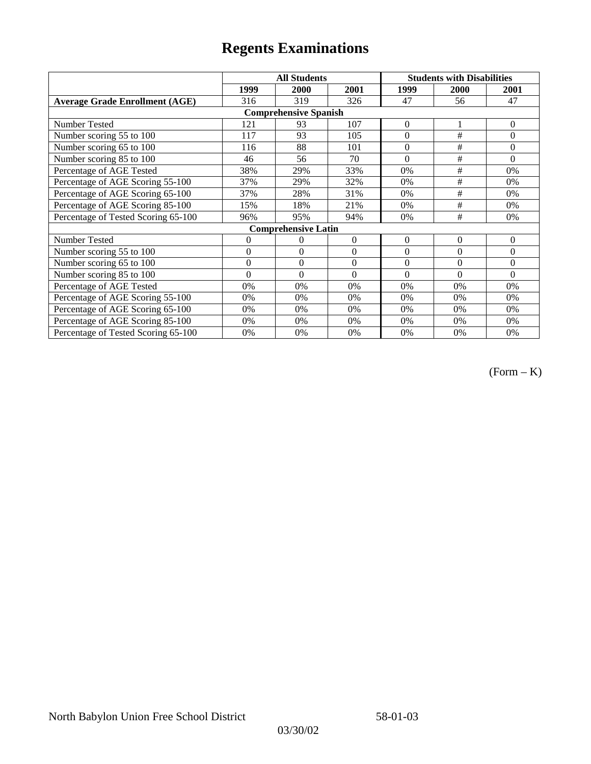|                                       |              | <b>All Students</b>        |          | <b>Students with Disabilities</b> |             |              |  |  |
|---------------------------------------|--------------|----------------------------|----------|-----------------------------------|-------------|--------------|--|--|
|                                       | 1999         | 2000                       | 2001     | 1999                              | <b>2000</b> | 2001         |  |  |
| <b>Average Grade Enrollment (AGE)</b> | 316          | 319                        | 326      | 47                                | 56          | 47           |  |  |
| <b>Comprehensive Spanish</b>          |              |                            |          |                                   |             |              |  |  |
| Number Tested                         | 121          | 93                         | 107      | $\mathbf{0}$                      |             | $\mathbf{0}$ |  |  |
| Number scoring 55 to 100              | 117          | 93                         | 105      | $\Omega$                          | #           | $\theta$     |  |  |
| Number scoring 65 to 100              | 116          | 88                         | 101      | $\mathbf{0}$                      | $\#$        | $\mathbf{0}$ |  |  |
| Number scoring 85 to 100              | 46           | 56                         | 70       | $\Omega$                          | #           | $\theta$     |  |  |
| Percentage of AGE Tested              | 38%          | 29%                        | 33%      | 0%                                | #           | 0%           |  |  |
| Percentage of AGE Scoring 55-100      | 37%          | 29%                        | 32%      | 0%                                | $\#$        | 0%           |  |  |
| Percentage of AGE Scoring 65-100      | 37%          | 28%                        | 31%      | 0%                                | #           | 0%           |  |  |
| Percentage of AGE Scoring 85-100      | 15%          | 18%                        | 21%      | 0%                                | #           | 0%           |  |  |
| Percentage of Tested Scoring 65-100   | 96%          | 95%                        | 94%      | 0%                                | #           | 0%           |  |  |
|                                       |              | <b>Comprehensive Latin</b> |          |                                   |             |              |  |  |
| Number Tested                         | 0            | $\theta$                   | $\theta$ | $\Omega$                          | $\theta$    | $\theta$     |  |  |
| Number scoring 55 to 100              | $\mathbf{0}$ | $\theta$                   | $\theta$ | $\Omega$                          | $\theta$    | $\mathbf{0}$ |  |  |
| Number scoring 65 to 100              | $\mathbf{0}$ | $\overline{0}$             | $\theta$ | $\Omega$                          | $\theta$    | $\Omega$     |  |  |
| Number scoring 85 to 100              | $\theta$     | $\theta$                   | $\theta$ | $\Omega$                          | $\Omega$    | $\Omega$     |  |  |
| Percentage of AGE Tested              | 0%           | 0%                         | 0%       | 0%                                | 0%          | 0%           |  |  |
| Percentage of AGE Scoring 55-100      | 0%           | 0%                         | 0%       | 0%                                | 0%          | 0%           |  |  |
| Percentage of AGE Scoring 65-100      | 0%           | 0%                         | 0%       | 0%                                | 0%          | 0%           |  |  |
| Percentage of AGE Scoring 85-100      | 0%           | 0%                         | 0%       | 0%                                | $0\%$       | $0\%$        |  |  |
| Percentage of Tested Scoring 65-100   | 0%           | 0%                         | 0%       | 0%                                | 0%          | $0\%$        |  |  |

(Form – K)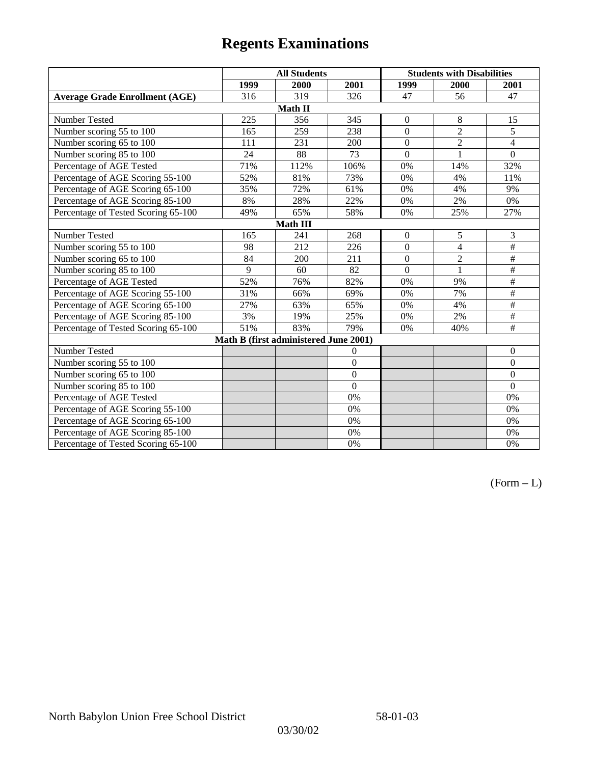|                                       | <b>All Students</b> |                                       |                | <b>Students with Disabilities</b> |                |                  |  |  |
|---------------------------------------|---------------------|---------------------------------------|----------------|-----------------------------------|----------------|------------------|--|--|
|                                       | 1999                | 2000                                  | 2001           | 1999                              | 2000           | 2001             |  |  |
| <b>Average Grade Enrollment (AGE)</b> | 316                 | 319                                   | 326            | 47                                | 56             | 47               |  |  |
|                                       |                     | Math II                               |                |                                   |                |                  |  |  |
| Number Tested                         | 225                 | 356                                   | 345            | $\boldsymbol{0}$                  | 8              | 15               |  |  |
| Number scoring 55 to 100              | 165                 | 259                                   | 238            | $\overline{0}$                    | $\overline{2}$ | $\overline{5}$   |  |  |
| Number scoring 65 to 100              | 111                 | 231                                   | 200            | $\overline{0}$                    | $\overline{2}$ | $\overline{4}$   |  |  |
| Number scoring 85 to 100              | 24                  | 88                                    | 73             | $\overline{0}$                    | $\mathbf{1}$   | $\boldsymbol{0}$ |  |  |
| Percentage of AGE Tested              | 71%                 | 112%                                  | 106%           | 0%                                | 14%            | 32%              |  |  |
| Percentage of AGE Scoring 55-100      | 52%                 | 81%                                   | 73%            | $0\%$                             | 4%             | 11%              |  |  |
| Percentage of AGE Scoring 65-100      | 35%                 | 72%                                   | 61%            | $0\%$                             | 4%             | 9%               |  |  |
| Percentage of AGE Scoring 85-100      | 8%                  | 28%                                   | 22%            | 0%                                | 2%             | $0\%$            |  |  |
| Percentage of Tested Scoring 65-100   | 49%                 | 65%                                   | 58%            | 0%                                | 25%            | 27%              |  |  |
| Math III                              |                     |                                       |                |                                   |                |                  |  |  |
| Number Tested                         | 165                 | 241                                   | 268            | $\boldsymbol{0}$                  | 5              | 3                |  |  |
| Number scoring 55 to 100              | 98                  | 212                                   | 226            | $\mathbf{0}$                      | $\overline{4}$ | $\#$             |  |  |
| Number scoring 65 to 100              | 84                  | 200                                   | 211            | $\Omega$                          | $\overline{2}$ | $\#$             |  |  |
| Number scoring 85 to 100              | 9                   | 60                                    | 82             | $\Omega$                          | $\mathbf{1}$   | $\#$             |  |  |
| Percentage of AGE Tested              | 52%                 | 76%                                   | 82%            | 0%                                | 9%             | $\#$             |  |  |
| Percentage of AGE Scoring 55-100      | 31%                 | 66%                                   | 69%            | 0%                                | 7%             | $\#$             |  |  |
| Percentage of AGE Scoring 65-100      | 27%                 | 63%                                   | 65%            | 0%                                | 4%             | $\#$             |  |  |
| Percentage of AGE Scoring 85-100      | 3%                  | 19%                                   | 25%            | 0%                                | 2%             | $\#$             |  |  |
| Percentage of Tested Scoring 65-100   | 51%                 | 83%                                   | 79%            | 0%                                | 40%            | $\#$             |  |  |
|                                       |                     | Math B (first administered June 2001) |                |                                   |                |                  |  |  |
| Number Tested                         |                     |                                       | $\overline{0}$ |                                   |                | $\boldsymbol{0}$ |  |  |
| Number scoring 55 to 100              |                     |                                       | $\overline{0}$ |                                   |                | $\boldsymbol{0}$ |  |  |
| Number scoring 65 to 100              |                     |                                       | $\mathbf{0}$   |                                   |                | $\boldsymbol{0}$ |  |  |
| Number scoring 85 to 100              |                     |                                       | $\overline{0}$ |                                   |                | $\mathbf{0}$     |  |  |
| Percentage of AGE Tested              |                     |                                       | 0%             |                                   |                | 0%               |  |  |
| Percentage of AGE Scoring 55-100      |                     |                                       | 0%             |                                   |                | 0%               |  |  |
| Percentage of AGE Scoring 65-100      |                     |                                       | 0%             |                                   |                | $0\%$            |  |  |
| Percentage of AGE Scoring 85-100      |                     |                                       | 0%             |                                   |                | 0%               |  |  |
| Percentage of Tested Scoring 65-100   |                     |                                       | 0%             |                                   |                | 0%               |  |  |

 $(Form - L)$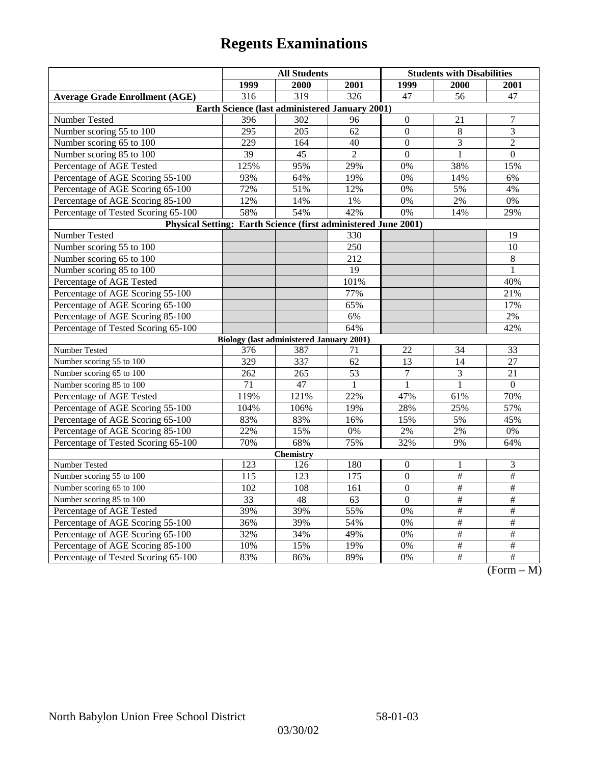|                                                                | <b>All Students</b>                             |      |                  | <b>Students with Disabilities</b> |                 |                                            |  |  |
|----------------------------------------------------------------|-------------------------------------------------|------|------------------|-----------------------------------|-----------------|--------------------------------------------|--|--|
|                                                                | 1999                                            | 2000 | 2001             | 1999                              | 2000            | 2001                                       |  |  |
| <b>Average Grade Enrollment (AGE)</b>                          | 316                                             | 319  | $\overline{326}$ | 47                                | 56              | 47                                         |  |  |
| Earth Science (last administered January 2001)                 |                                                 |      |                  |                                   |                 |                                            |  |  |
| Number Tested                                                  | 396                                             | 302  | 96               | $\overline{0}$                    | 21              | 7                                          |  |  |
| Number scoring 55 to 100                                       | 295                                             | 205  | 62               | $\mathbf{0}$                      | $\,8\,$         | $\overline{3}$                             |  |  |
| Number scoring 65 to 100                                       | 229                                             | 164  | 40               | $\boldsymbol{0}$                  | 3               | $\overline{c}$                             |  |  |
| Number scoring 85 to 100                                       | 39                                              | 45   | $\overline{2}$   | $\mathbf{0}$                      | $\mathbf{1}$    | $\mathbf{0}$                               |  |  |
| Percentage of AGE Tested                                       | 125%                                            | 95%  | 29%              | 0%                                | 38%             | 15%                                        |  |  |
| Percentage of AGE Scoring 55-100                               | 93%                                             | 64%  | 19%              | 0%                                | 14%             | 6%                                         |  |  |
| Percentage of AGE Scoring 65-100                               | 72%                                             | 51%  | 12%              | 0%                                | 5%              | 4%                                         |  |  |
| Percentage of AGE Scoring 85-100                               | 12%                                             | 14%  | 1%               | $0\%$                             | 2%              | 0%                                         |  |  |
| Percentage of Tested Scoring 65-100                            | 58%                                             | 54%  | 42%              | 0%                                | 14%             | 29%                                        |  |  |
| Physical Setting: Earth Science (first administered June 2001) |                                                 |      |                  |                                   |                 |                                            |  |  |
| Number Tested                                                  |                                                 |      | 330              |                                   |                 | 19                                         |  |  |
| Number scoring 55 to 100                                       |                                                 |      | 250              |                                   |                 | 10                                         |  |  |
| Number scoring 65 to 100                                       |                                                 |      | $\overline{212}$ |                                   |                 | $\overline{8}$                             |  |  |
| Number scoring 85 to 100                                       |                                                 |      | 19               |                                   |                 | $\mathbf{1}$                               |  |  |
| Percentage of AGE Tested                                       |                                                 |      | 101%             |                                   |                 | 40%                                        |  |  |
| Percentage of AGE Scoring 55-100                               |                                                 |      | 77%              |                                   |                 | 21%                                        |  |  |
| Percentage of AGE Scoring 65-100                               |                                                 |      | 65%              |                                   |                 | 17%                                        |  |  |
| Percentage of AGE Scoring 85-100                               |                                                 |      | 6%               |                                   |                 | 2%                                         |  |  |
| Percentage of Tested Scoring 65-100                            |                                                 |      | 64%              |                                   |                 | 42%                                        |  |  |
|                                                                | <b>Biology</b> (last administered January 2001) |      |                  |                                   |                 |                                            |  |  |
| Number Tested                                                  | 376                                             | 387  | 71               | 22                                | 34              | 33                                         |  |  |
| Number scoring 55 to 100                                       | 329                                             | 337  | 62               | 13                                | $\overline{14}$ | 27                                         |  |  |
| Number scoring 65 to 100                                       | 262                                             | 265  | 53               | $\overline{7}$                    | 3               | 21                                         |  |  |
| Number scoring 85 to 100                                       | 71                                              | 47   | 1                | 1                                 | 1               | $\Omega$                                   |  |  |
| Percentage of AGE Tested                                       | 119%                                            | 121% | 22%              | 47%                               | 61%             | 70%                                        |  |  |
| Percentage of AGE Scoring 55-100                               | 104%                                            | 106% | 19%              | 28%                               | 25%             | 57%                                        |  |  |
| Percentage of AGE Scoring 65-100                               | 83%                                             | 83%  | 16%              | 15%                               | 5%              | 45%                                        |  |  |
| Percentage of AGE Scoring 85-100                               | 22%                                             | 15%  | $0\%$            | $2\%$                             | $2\%$           | 0%                                         |  |  |
| Percentage of Tested Scoring 65-100                            | 70%                                             | 68%  | 75%              | 32%                               | 9%              | 64%                                        |  |  |
| <b>Chemistry</b>                                               |                                                 |      |                  |                                   |                 |                                            |  |  |
| Number Tested                                                  | 123                                             | 126  | 180              | $\boldsymbol{0}$                  | 1               | $\mathfrak 3$                              |  |  |
| Number scoring 55 to 100                                       | 115                                             | 123  | 175              | $\mathbf{0}$                      | $\overline{\#}$ | $\overline{\#}$                            |  |  |
| Number scoring 65 to 100                                       | 102                                             | 108  | 161              | $\overline{0}$                    | $\frac{1}{2}$   | $\frac{1}{2}$                              |  |  |
| Number scoring 85 to 100                                       | 33                                              | 48   | 63               | $\mathbf{0}$                      | $\#$            | $\#$                                       |  |  |
| Percentage of AGE Tested                                       | 39%                                             | 39%  | 55%              | 0%                                | $\#$            | $\#$                                       |  |  |
| Percentage of AGE Scoring 55-100                               | 36%                                             | 39%  | 54%              | 0%                                | #               | #                                          |  |  |
| Percentage of AGE Scoring 65-100                               | 32%                                             | 34%  | 49%              | 0%                                | $\overline{\#}$ | $\overline{\#}$                            |  |  |
| Percentage of AGE Scoring 85-100                               | 10%                                             | 15%  | 19%              | 0%                                | $\frac{1}{2}$   | $\overline{\#}$                            |  |  |
| Percentage of Tested Scoring 65-100                            | 83%                                             | 86%  | 89%              | 0%                                | $\overline{+}$  | $\overline{+}$<br>$\Gamma$<br>$\mathbf{M}$ |  |  |

 $(Form - M)$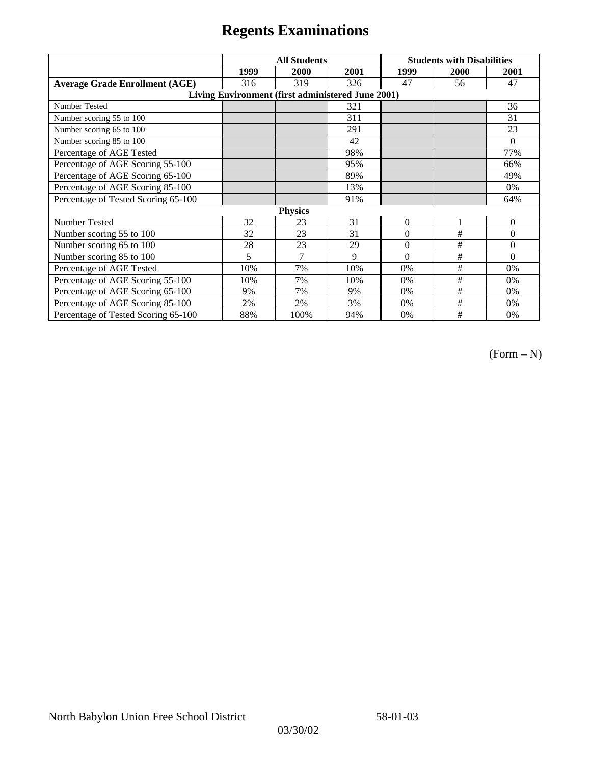|                                                   | <b>All Students</b> |                |      | <b>Students with Disabilities</b> |      |          |  |  |
|---------------------------------------------------|---------------------|----------------|------|-----------------------------------|------|----------|--|--|
|                                                   | 1999                | 2000           | 2001 | 1999                              | 2000 | 2001     |  |  |
| <b>Average Grade Enrollment (AGE)</b>             | 316                 | 319            | 326  | 47                                | 56   | 47       |  |  |
| Living Environment (first administered June 2001) |                     |                |      |                                   |      |          |  |  |
| Number Tested                                     |                     |                | 321  |                                   |      | 36       |  |  |
| Number scoring 55 to 100                          |                     |                | 311  |                                   |      | 31       |  |  |
| Number scoring 65 to 100                          |                     |                | 291  |                                   |      | 23       |  |  |
| Number scoring 85 to 100                          |                     |                | 42   |                                   |      | $\theta$ |  |  |
| Percentage of AGE Tested                          |                     |                | 98%  |                                   |      | 77%      |  |  |
| Percentage of AGE Scoring 55-100                  |                     |                | 95%  |                                   |      | 66%      |  |  |
| Percentage of AGE Scoring 65-100                  |                     |                | 89%  |                                   |      | 49%      |  |  |
| Percentage of AGE Scoring 85-100                  |                     |                | 13%  |                                   |      | 0%       |  |  |
| Percentage of Tested Scoring 65-100               |                     |                | 91%  |                                   |      | 64%      |  |  |
| <b>Physics</b>                                    |                     |                |      |                                   |      |          |  |  |
| Number Tested                                     | 32                  | 23             | 31   | $\mathbf{0}$                      | 1    | $\theta$ |  |  |
| Number scoring 55 to 100                          | 32                  | 23             | 31   | $\Omega$                          | #    | $\theta$ |  |  |
| Number scoring 65 to 100                          | 28                  | 23             | 29   | $\Omega$                          | #    | $\theta$ |  |  |
| Number scoring 85 to 100                          | 5                   | $\overline{7}$ | 9    | $\Omega$                          | #    | $\Omega$ |  |  |
| Percentage of AGE Tested                          | 10%                 | 7%             | 10%  | 0%                                | #    | 0%       |  |  |
| Percentage of AGE Scoring 55-100                  | 10%                 | 7%             | 10%  | 0%                                | #    | 0%       |  |  |
| Percentage of AGE Scoring 65-100                  | 9%                  | 7%             | 9%   | 0%                                | #    | 0%       |  |  |
| Percentage of AGE Scoring 85-100                  | 2%                  | 2%             | 3%   | 0%                                | #    | 0%       |  |  |
| Percentage of Tested Scoring 65-100               | 88%                 | 100%           | 94%  | 0%                                | #    | 0%       |  |  |

(Form – N)